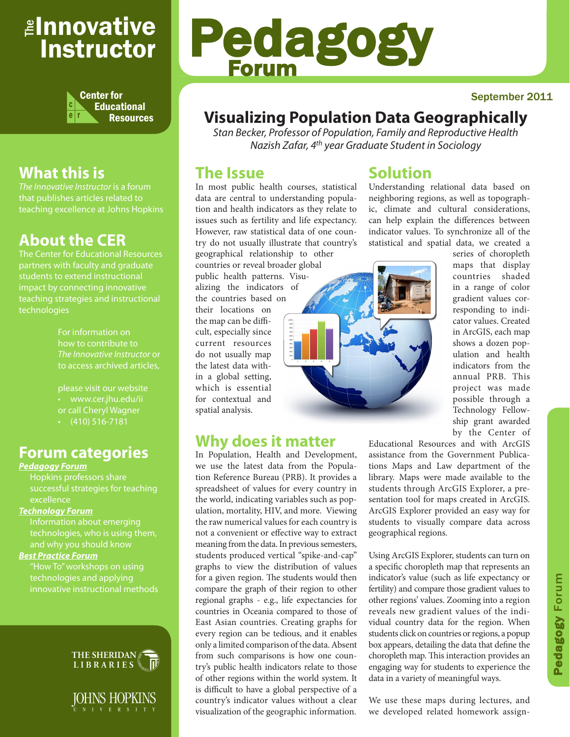## <sub>≝l</sub>nnovative Instructor



## **What this is**

that publishes articles related to teaching excellence at Johns Hopkins

## **About the CER**

The Center for Educational Resources partners with faculty and graduate teaching strategies and instructional technologies

> For information on how to contribute to *The Innovative Instructor* or to access archived articles,

• www.cer.jhu.edu/ii or call Cheryl Wagner  $\cdot$  (410) 516-7181

#### **Forum categories**

#### *Pedagogy Forum*

successful strategies for teaching excellence

#### *Technology Forum*

Information about emerging technologies, who is using them,

#### *Best Practice Forum*

technologies and applying



JOHNS HOPKINS

# Pedagogy Forum

#### September 2011

## **Visualizing Population Data Geographically**

*Stan Becker, Professor of Population, Family and Reproductive Health Nazish Zafar, 4th year Graduate Student in Sociology*

#### **The Issue**

In most public health courses, statistical data are central to understanding population and health indicators as they relate to issues such as fertility and life expectancy. However, raw statistical data of one country do not usually illustrate that country's

geographical relationship to other countries or reveal broader global public health patterns. Visualizing the indicators of the countries based on

their locations on the map can be difficult, especially since current resources do not usually map the latest data within a global setting, which is essential for contextual and spatial analysis.



## **Why does it matter**

In Population, Health and Development, we use the latest data from the Population Reference Bureau (PRB). It provides a spreadsheet of values for every country in the world, indicating variables such as population, mortality, HIV, and more. Viewing the raw numerical values for each country is not a convenient or effective way to extract meaning from the data. In previous semesters, students produced vertical "spike-and-cap" graphs to view the distribution of values for a given region. The students would then compare the graph of their region to other regional graphs - e.g., life expectancies for countries in Oceania compared to those of East Asian countries. Creating graphs for every region can be tedious, and it enables only a limited comparison of the data. Absent from such comparisons is how one country's public health indicators relate to those of other regions within the world system. It is difficult to have a global perspective of a country's indicator values without a clear visualization of the geographic information.

#### **Solution**

Understanding relational data based on neighboring regions, as well as topographic, climate and cultural considerations, can help explain the differences between indicator values. To synchronize all of the statistical and spatial data, we created a

series of choropleth maps that display countries shaded in a range of color gradient values corresponding to indicator values. Created in ArcGIS, each map shows a dozen population and health indicators from the annual PRB. This project was made possible through a Technology Fellowship grant awarded by the Center of

Educational Resources and with ArcGIS assistance from the Government Publications Maps and Law department of the library. Maps were made available to the students through ArcGIS Explorer, a presentation tool for maps created in ArcGIS. ArcGIS Explorer provided an easy way for students to visually compare data across geographical regions.

Using ArcGIS Explorer, students can turn on a specific choropleth map that represents an indicator's value (such as life expectancy or fertility) and compare those gradient values to other regions' values. Zooming into a region reveals new gradient values of the individual country data for the region. When students click on countries or regions, a popup box appears, detailing the data that define the choropleth map. This interaction provides an engaging way for students to experience the data in a variety of meaningful ways.

We use these maps during lectures, and we developed related homework assign